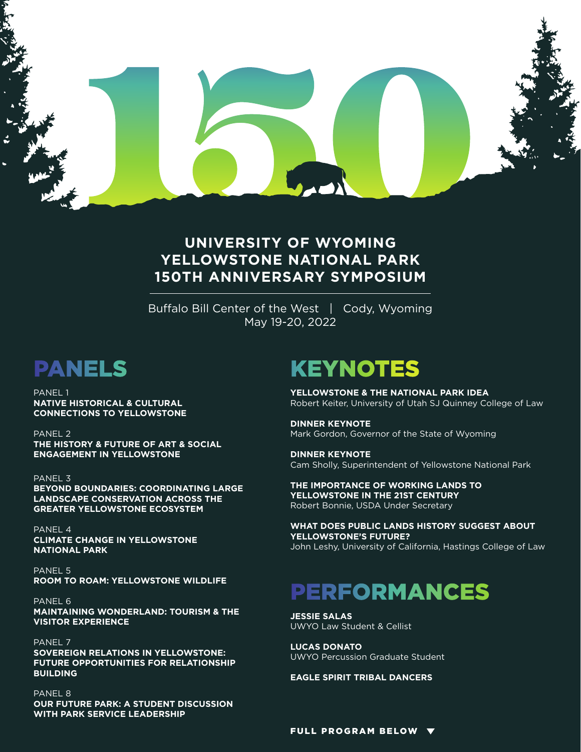

### **UNIVERSITY OF WYOMING YELLOWSTONE NATIONAL PARK 150TH ANNIVERSARY SYMPOSIUM**

Buffalo Bill Center of the West | Cody, Wyoming May 19-20, 2022

PANEL 1 **NATIVE HISTORICAL & CULTURAL CONNECTIONS TO YELLOWSTONE**

PANEL 2 **THE HISTORY & FUTURE OF ART & SOCIAL ENGAGEMENT IN YELLOWSTONE** 

PANEL 3 **BEYOND BOUNDARIES: COORDINATING LARGE LANDSCAPE CONSERVATION ACROSS THE GREATER YELLOWSTONE ECOSYSTEM**

PANEL 4 **CLIMATE CHANGE IN YELLOWSTONE NATIONAL PARK**

PANEL 5 **ROOM TO ROAM: YELLOWSTONE WILDLIFE**

PANEL 6 **MAINTAINING WONDERLAND: TOURISM & THE VISITOR EXPERIENCE**

PANEL<sub>7</sub> **SOVEREIGN RELATIONS IN YELLOWSTONE: FUTURE OPPORTUNITIES FOR RELATIONSHIP BUILDING**

PANEL 8 **OUR FUTURE PARK: A STUDENT DISCUSSION WITH PARK SERVICE LEADERSHIP**

## PANELS KEYNOTES

**YELLOWSTONE & THE NATIONAL PARK IDEA** Robert Keiter, University of Utah SJ Quinney College of Law

**DINNER KEYNOTE**  Mark Gordon, Governor of the State of Wyoming

**DINNER KEYNOTE** Cam Sholly, Superintendent of Yellowstone National Park

**THE IMPORTANCE OF WORKING LANDS TO YELLOWSTONE IN THE 21ST CENTURY** Robert Bonnie, USDA Under Secretary

**WHAT DOES PUBLIC LANDS HISTORY SUGGEST ABOUT YELLOWSTONE'S FUTURE?**  John Leshy, University of California, Hastings College of Law

# PERFORMANCES

**JESSIE SALAS** UWYO Law Student & Cellist

**LUCAS DONATO** UWYO Percussion Graduate Student

**EAGLE SPIRIT TRIBAL DANCERS**

FULL PROGRAM BELOW  $\blacktriangledown$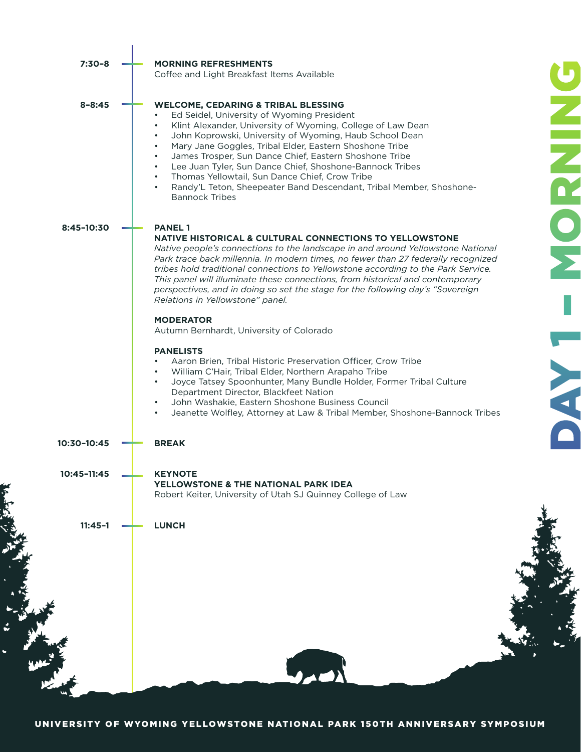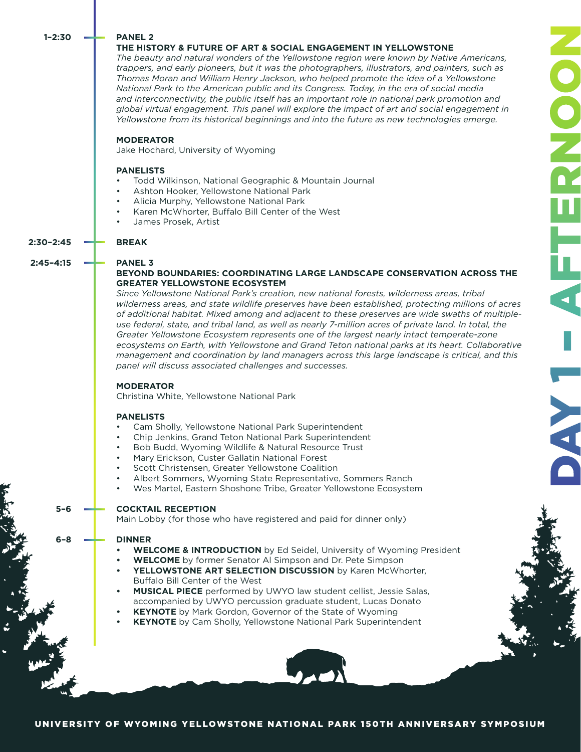#### **1–2:30**

#### **PANEL 2**

#### **THE HISTORY & FUTURE OF ART & SOCIAL ENGAGEMENT IN YELLOWSTONE**

*The beauty and natural wonders of the Yellowstone region were known by Native Americans, trappers, and early pioneers, but it was the photographers, illustrators, and painters, such as Thomas Moran and William Henry Jackson, who helped promote the idea of a Yellowstone National Park to the American public and its Congress. Today, in the era of social media and interconnectivity, the public itself has an important role in national park promotion and global virtual engagement. This panel will explore the impact of art and social engagement in Yellowstone from its historical beginnings and into the future as new technologies emerge.*

#### **MODERATOR**

Jake Hochard, University of Wyoming

#### **PANELISTS**

**BREAK** 

**PANEL 3**

- Todd Wilkinson, National Geographic & Mountain Journal
- Ashton Hooker, Yellowstone National Park
- Alicia Murphy, Yellowstone National Park
- Karen McWhorter, Buffalo Bill Center of the West
- James Prosek, Artist

### **2:30–2:45**

**5–6**

**6–8**

#### **2:45–4:15**

#### **BEYOND BOUNDARIES: COORDINATING LARGE LANDSCAPE CONSERVATION ACROSS THE GREATER YELLOWSTONE ECOSYSTEM**

DAY 1 – AFTERNOON

OOO

*Since Yellowstone National Park's creation, new national forests, wilderness areas, tribal wilderness areas, and state wildlife preserves have been established, protecting millions of acres of additional habitat. Mixed among and adjacent to these preserves are wide swaths of multipleuse federal, state, and tribal land, as well as nearly 7-million acres of private land. In total, the Greater Yellowstone Ecosystem represents one of the largest nearly intact temperate-zone ecosystems on Earth, with Yellowstone and Grand Teton national parks at its heart. Collaborative management and coordination by land managers across this large landscape is critical, and this panel will discuss associated challenges and successes.* 

#### **MODERATOR**

Christina White, Yellowstone National Park

#### **PANELISTS**

- Cam Sholly, Yellowstone National Park Superintendent
- Chip Jenkins, Grand Teton National Park Superintendent
- Bob Budd, Wyoming Wildlife & Natural Resource Trust
- Mary Erickson, Custer Gallatin National Forest
- Scott Christensen, Greater Yellowstone Coalition
- Albert Sommers, Wyoming State Representative, Sommers Ranch
- Wes Martel, Eastern Shoshone Tribe, Greater Yellowstone Ecosystem

#### **COCKTAIL RECEPTION**

Main Lobby (for those who have registered and paid for dinner only)

#### **DINNER**

- **• WELCOME & INTRODUCTION** by Ed Seidel, University of Wyoming President
	- **• WELCOME** by former Senator Al Simpson and Dr. Pete Simpson
- **• YELLOWSTONE ART SELECTION DISCUSSION** by Karen McWhorter, Buffalo Bill Center of the West
- **• MUSICAL PIECE** performed by UWYO law student cellist, Jessie Salas, accompanied by UWYO percussion graduate student, Lucas Donato
- **• KEYNOTE** by Mark Gordon, Governor of the State of Wyoming
- **• KEYNOTE** by Cam Sholly, Yellowstone National Park Superintendent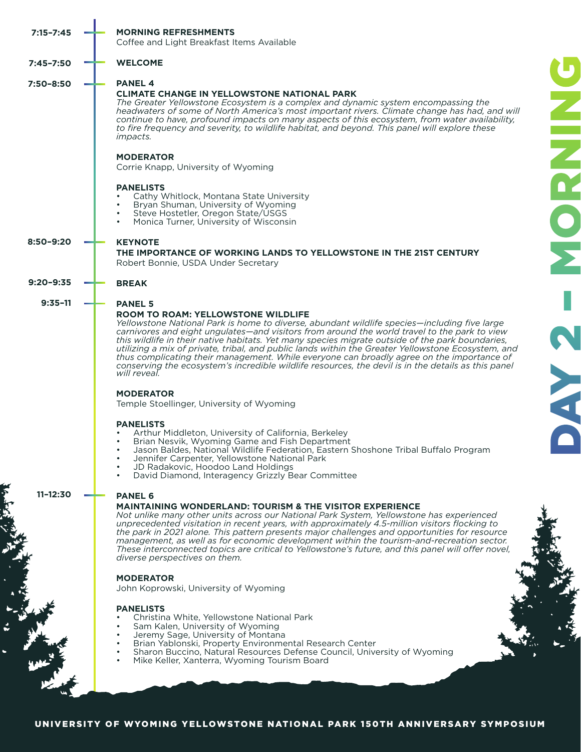|  | <b>MORNING REFRESHMENTS</b><br>Coffee and Light Breakfast Items Available                                                                                                                                                                                                                                                                                                                                                                                                                                                                                                                                                                                                                                                                                                                                                                                                                                                                                                                                                                                                                                                                     |
|--|-----------------------------------------------------------------------------------------------------------------------------------------------------------------------------------------------------------------------------------------------------------------------------------------------------------------------------------------------------------------------------------------------------------------------------------------------------------------------------------------------------------------------------------------------------------------------------------------------------------------------------------------------------------------------------------------------------------------------------------------------------------------------------------------------------------------------------------------------------------------------------------------------------------------------------------------------------------------------------------------------------------------------------------------------------------------------------------------------------------------------------------------------|
|  | <b>WELCOME</b>                                                                                                                                                                                                                                                                                                                                                                                                                                                                                                                                                                                                                                                                                                                                                                                                                                                                                                                                                                                                                                                                                                                                |
|  | <b>PANEL 4</b><br><b>CLIMATE CHANGE IN YELLOWSTONE NATIONAL PARK</b><br>The Greater Yellowstone Ecosystem is a complex and dynamic system encompassing the<br>headwaters of some of North America's most important rivers. Climate change has had, and will<br>continue to have, profound impacts on many aspects of this ecosystem, from water availability,<br>to fire frequency and severity, to wildlife habitat, and beyond. This panel will explore these<br><i>impacts.</i>                                                                                                                                                                                                                                                                                                                                                                                                                                                                                                                                                                                                                                                            |
|  | ENNI<br><b>MODERATOR</b><br>Corrie Knapp, University of Wyoming                                                                                                                                                                                                                                                                                                                                                                                                                                                                                                                                                                                                                                                                                                                                                                                                                                                                                                                                                                                                                                                                               |
|  | <b>PANELISTS</b><br>Cathy Whitlock, Montana State University<br>Bryan Shuman, University of Wyoming<br>Steve Hostetler, Oregon State/USGS<br>Monica Turner, University of Wisconsin                                                                                                                                                                                                                                                                                                                                                                                                                                                                                                                                                                                                                                                                                                                                                                                                                                                                                                                                                           |
|  | <b>MO</b><br><b>KEYNOTE</b><br>THE IMPORTANCE OF WORKING LANDS TO YELLOWSTONE IN THE 21ST CENTURY<br>Robert Bonnie, USDA Under Secretary                                                                                                                                                                                                                                                                                                                                                                                                                                                                                                                                                                                                                                                                                                                                                                                                                                                                                                                                                                                                      |
|  | <b>BREAK</b>                                                                                                                                                                                                                                                                                                                                                                                                                                                                                                                                                                                                                                                                                                                                                                                                                                                                                                                                                                                                                                                                                                                                  |
|  | <b>PANEL 5</b><br><b>ROOM TO ROAM: YELLOWSTONE WILDLIFE</b><br>Yellowstone National Park is home to diverse, abundant wildlife species-including five large<br>carnivores and eight ungulates—and visitors from around the world travel to the park to view<br>this wildlife in their native habitats. Yet many species migrate outside of the park boundaries,<br><b>CONTROL</b><br>utilizing a mix of private, tribal, and public lands within the Greater Yellowstone Ecosystem, and<br>thus complicating their management. While everyone can broadly agree on the importance of<br>conserving the ecosystem's incredible wildlife resources, the devil is in the details as this panel<br>will reveal.<br><b>MODERATOR</b><br>Temple Stoellinger, University of Wyoming<br><b>PANELISTS</b><br>Arthur Middleton, University of California, Berkeley<br>Brian Nesvik, Wyoming Game and Fish Department<br>Jason Baldes, National Wildlife Federation, Eastern Shoshone Tribal Buffalo Program<br>Jennifer Carpenter, Yellowstone National Park<br>JD Radakovic, Hoodoo Land Holdings<br>David Diamond, Interagency Grizzly Bear Committee |
|  | <b>PANEL 6</b><br><b>MAINTAINING WONDERLAND: TOURISM &amp; THE VISITOR EXPERIENCE</b><br>Not unlike many other units across our National Park System, Yellowstone has experienced<br>unprecedented visitation in recent years, with approximately 4.5-million visitors flocking to<br>the park in 2021 alone. This pattern presents major challenges and opportunities for resource<br>management, as well as for economic development within the tourism-and-recreation sector.<br>These interconnected topics are critical to Yellowstone's future, and this panel will offer novel,<br>diverse perspectives on them.<br><b>MODERATOR</b><br>John Koprowski, University of Wyoming<br><b>PANELISTS</b><br>Christina White, Yellowstone National Park<br>Sam Kalen, University of Wyoming<br>Jeremy Sage, University of Montana<br>Brian Yablonski, Property Environmental Research Center<br>Sharon Buccino, Natural Resources Defense Council, University of Wyoming<br>Mike Keller, Xanterra, Wyoming Tourism Board                                                                                                                       |
|  |                                                                                                                                                                                                                                                                                                                                                                                                                                                                                                                                                                                                                                                                                                                                                                                                                                                                                                                                                                                                                                                                                                                                               |

×

11. 12. 14. 15. 14. 15

 $\blacktriangle$  $\ddot{\bullet}$  $\ddot{\bullet}$ 

 $\bullet$